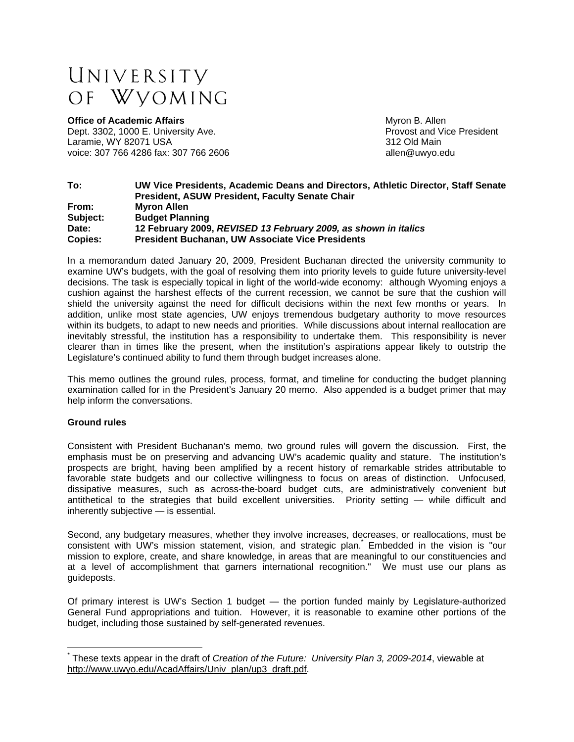# UNIVERSITY OF WVOMING

**Office of Academic Affairs** Myron B. Allen Dept. 3302, 1000 E. University Ave. **Provident** Provost and Vice President Laramie, WY 82071 USA 312 Old Main voice: 307 766 4286 fax: 307 766 2606 **big and the set of the set of the set of the set of the set of the set of the set of the set of the set of the set of the set of the set of the set of the set of the set of the set of** 

### **To: UW Vice Presidents, Academic Deans and Directors, Athletic Director, Staff Senate President, ASUW President, Faculty Senate Chair From: Myron Allen Subject: Budget Planning Date: 12 February 2009,** *REVISED 13 February 2009, as shown in italics* **Copies: President Buchanan, UW Associate Vice Presidents**

In a memorandum dated January 20, 2009, President Buchanan directed the university community to examine UW's budgets, with the goal of resolving them into priority levels to guide future university-level decisions. The task is especially topical in light of the world-wide economy: although Wyoming enjoys a cushion against the harshest effects of the current recession, we cannot be sure that the cushion will shield the university against the need for difficult decisions within the next few months or years. In addition, unlike most state agencies, UW enjoys tremendous budgetary authority to move resources within its budgets, to adapt to new needs and priorities. While discussions about internal reallocation are inevitably stressful, the institution has a responsibility to undertake them. This responsibility is never clearer than in times like the present, when the institution's aspirations appear likely to outstrip the Legislature's continued ability to fund them through budget increases alone.

This memo outlines the ground rules, process, format, and timeline for conducting the budget planning examination called for in the President's January 20 memo. Also appended is a budget primer that may help inform the conversations.

# **Ground rules**

 $\overline{a}$ 

Consistent with President Buchanan's memo, two ground rules will govern the discussion. First, the emphasis must be on preserving and advancing UW's academic quality and stature. The institution's prospects are bright, having been amplified by a recent history of remarkable strides attributable to favorable state budgets and our collective willingness to focus on areas of distinction. Unfocused, dissipative measures, such as across-the-board budget cuts, are administratively convenient but antithetical to the strategies that build excellent universities. Priority setting — while difficult and inherently subjective — is essential.

Second, any budgetary measures, whether they involve increases, decreases, or reallocations, must be consistent with UW's mission statement, vision, and strategic plan. Embedded in the vision is "our mission to explore, create, and share knowledge, in areas that are meaningful to our constituencies and at a level of accomplishment that garners international recognition." We must use our plans as guideposts.

Of primary interest is UW's Section 1 budget — the portion funded mainly by Legislature-authorized General Fund appropriations and tuition. However, it is reasonable to examine other portions of the budget, including those sustained by self-generated revenues.

<sup>\*</sup> These texts appear in the draft of *Creation of the Future: University Plan 3, 2009-2014*, viewable at http://www.uwyo.edu/AcadAffairs/Univ\_plan/up3\_draft.pdf.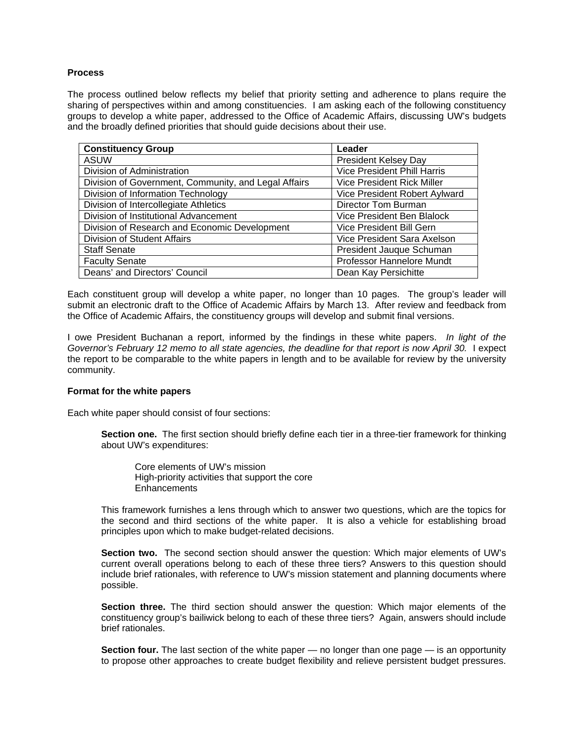# **Process**

The process outlined below reflects my belief that priority setting and adherence to plans require the sharing of perspectives within and among constituencies. I am asking each of the following constituency groups to develop a white paper, addressed to the Office of Academic Affairs, discussing UW's budgets and the broadly defined priorities that should guide decisions about their use.

| <b>Constituency Group</b>                            | Leader                             |
|------------------------------------------------------|------------------------------------|
| <b>ASUW</b>                                          | <b>President Kelsey Day</b>        |
| Division of Administration                           | <b>Vice President Phill Harris</b> |
| Division of Government, Community, and Legal Affairs | <b>Vice President Rick Miller</b>  |
| Division of Information Technology                   | Vice President Robert Aylward      |
| Division of Intercollegiate Athletics                | Director Tom Burman                |
| Division of Institutional Advancement                | Vice President Ben Blalock         |
| Division of Research and Economic Development        | Vice President Bill Gern           |
| Division of Student Affairs                          | Vice President Sara Axelson        |
| <b>Staff Senate</b>                                  | President Jauque Schuman           |
| <b>Faculty Senate</b>                                | Professor Hannelore Mundt          |
| Deans' and Directors' Council                        | Dean Kay Persichitte               |

Each constituent group will develop a white paper, no longer than 10 pages. The group's leader will submit an electronic draft to the Office of Academic Affairs by March 13. After review and feedback from the Office of Academic Affairs, the constituency groups will develop and submit final versions.

I owe President Buchanan a report, informed by the findings in these white papers. *In light of the Governor's February 12 memo to all state agencies, the deadline for that report is now April 30.* I expect the report to be comparable to the white papers in length and to be available for review by the university community.

#### **Format for the white papers**

Each white paper should consist of four sections:

**Section one.** The first section should briefly define each tier in a three-tier framework for thinking about UW's expenditures:

Core elements of UW's mission High-priority activities that support the core **Enhancements** 

This framework furnishes a lens through which to answer two questions, which are the topics for the second and third sections of the white paper. It is also a vehicle for establishing broad principles upon which to make budget-related decisions.

**Section two.** The second section should answer the question: Which major elements of UW's current overall operations belong to each of these three tiers? Answers to this question should include brief rationales, with reference to UW's mission statement and planning documents where possible.

**Section three.** The third section should answer the question: Which major elements of the constituency group's bailiwick belong to each of these three tiers? Again, answers should include brief rationales.

**Section four.** The last section of the white paper — no longer than one page — is an opportunity to propose other approaches to create budget flexibility and relieve persistent budget pressures.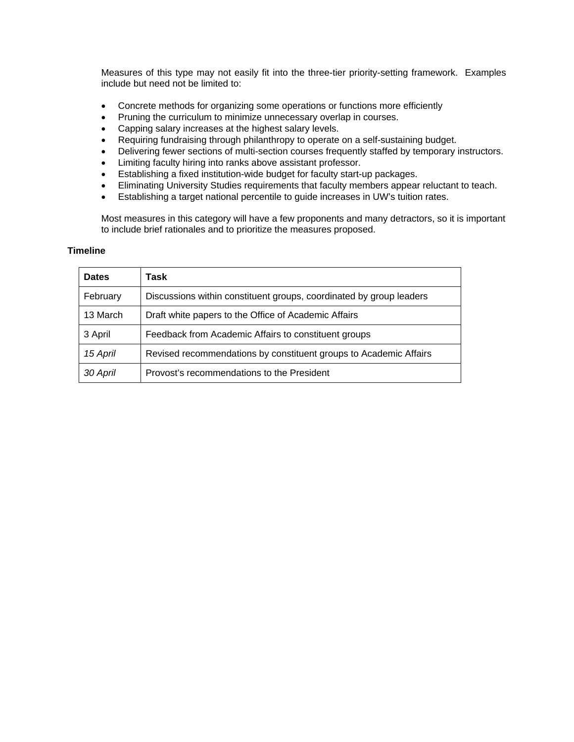Measures of this type may not easily fit into the three-tier priority-setting framework. Examples include but need not be limited to:

- Concrete methods for organizing some operations or functions more efficiently
- Pruning the curriculum to minimize unnecessary overlap in courses.
- Capping salary increases at the highest salary levels.
- Requiring fundraising through philanthropy to operate on a self-sustaining budget.
- Delivering fewer sections of multi-section courses frequently staffed by temporary instructors.
- Limiting faculty hiring into ranks above assistant professor.
- Establishing a fixed institution-wide budget for faculty start-up packages.
- Eliminating University Studies requirements that faculty members appear reluctant to teach.
- Establishing a target national percentile to guide increases in UW's tuition rates.

Most measures in this category will have a few proponents and many detractors, so it is important to include brief rationales and to prioritize the measures proposed.

#### **Timeline**

| <b>Dates</b> | Task                                                                |
|--------------|---------------------------------------------------------------------|
| February     | Discussions within constituent groups, coordinated by group leaders |
| 13 March     | Draft white papers to the Office of Academic Affairs                |
| 3 April      | Feedback from Academic Affairs to constituent groups                |
| 15 April     | Revised recommendations by constituent groups to Academic Affairs   |
| 30 April     | Provost's recommendations to the President                          |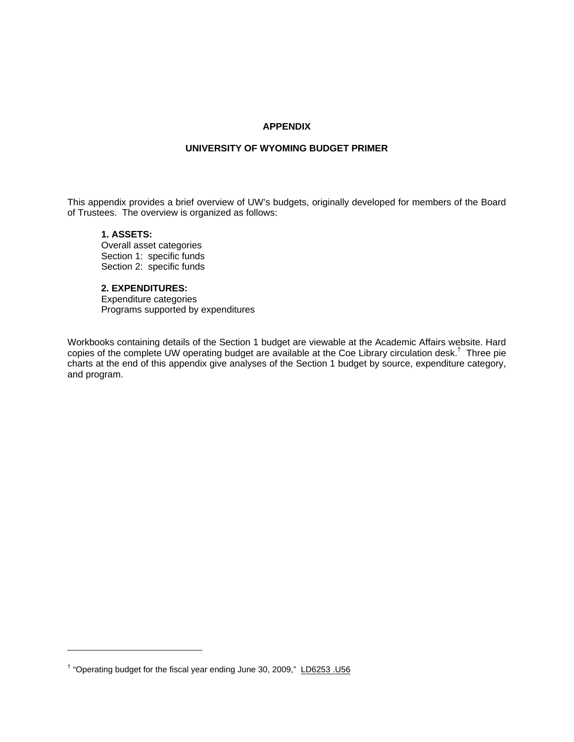## **APPENDIX**

#### **UNIVERSITY OF WYOMING BUDGET PRIMER**

This appendix provides a brief overview of UW's budgets, originally developed for members of the Board of Trustees. The overview is organized as follows:

# **1. ASSETS:**

 $\overline{a}$ 

Overall asset categories Section 1: specific funds Section 2: specific funds

# **2. EXPENDITURES:**

Expenditure categories Programs supported by expenditures

Workbooks containing details of the Section 1 budget are viewable at the Academic Affairs website. Hard copies of the complete UW operating budget are available at the Coe Library circulation desk.† Three pie charts at the end of this appendix give analyses of the Section 1 budget by source, expenditure category, and program.

<sup>&</sup>lt;sup>†</sup> "Operating budget for the fiscal year ending June 30, 2009," LD6253 .U56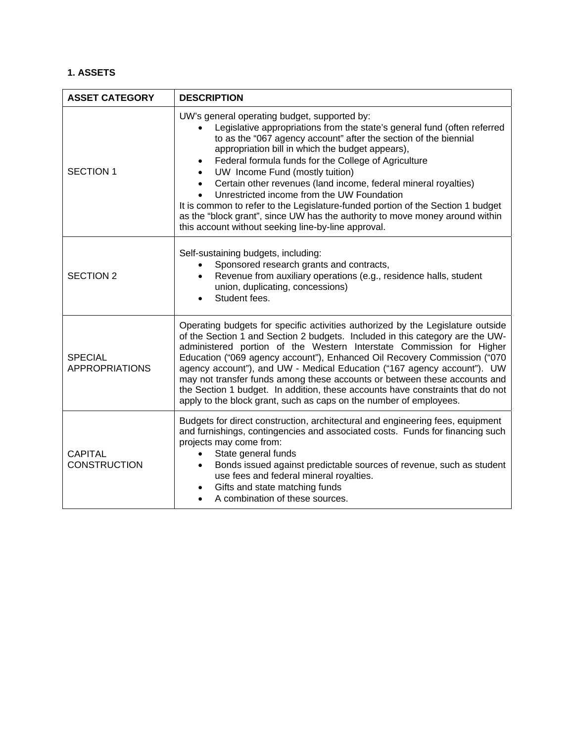# **1. ASSETS**

| <b>ASSET CATEGORY</b>                   | <b>DESCRIPTION</b>                                                                                                                                                                                                                                                                                                                                                                                                                                                                                                                                                                                                                                                                                  |
|-----------------------------------------|-----------------------------------------------------------------------------------------------------------------------------------------------------------------------------------------------------------------------------------------------------------------------------------------------------------------------------------------------------------------------------------------------------------------------------------------------------------------------------------------------------------------------------------------------------------------------------------------------------------------------------------------------------------------------------------------------------|
| <b>SECTION 1</b>                        | UW's general operating budget, supported by:<br>Legislative appropriations from the state's general fund (often referred<br>to as the "067 agency account" after the section of the biennial<br>appropriation bill in which the budget appears),<br>Federal formula funds for the College of Agriculture<br>UW Income Fund (mostly tuition)<br>Certain other revenues (land income, federal mineral royalties)<br>$\bullet$<br>Unrestricted income from the UW Foundation<br>It is common to refer to the Legislature-funded portion of the Section 1 budget<br>as the "block grant", since UW has the authority to move money around within<br>this account without seeking line-by-line approval. |
| <b>SECTION 2</b>                        | Self-sustaining budgets, including:<br>Sponsored research grants and contracts,<br>Revenue from auxiliary operations (e.g., residence halls, student<br>union, duplicating, concessions)<br>Student fees.                                                                                                                                                                                                                                                                                                                                                                                                                                                                                           |
| <b>SPECIAL</b><br><b>APPROPRIATIONS</b> | Operating budgets for specific activities authorized by the Legislature outside<br>of the Section 1 and Section 2 budgets. Included in this category are the UW-<br>administered portion of the Western Interstate Commission for Higher<br>Education ("069 agency account"), Enhanced Oil Recovery Commission ("070<br>agency account"), and UW - Medical Education ("167 agency account"). UW<br>may not transfer funds among these accounts or between these accounts and<br>the Section 1 budget. In addition, these accounts have constraints that do not<br>apply to the block grant, such as caps on the number of employees.                                                                |
| <b>CAPITAL</b><br><b>CONSTRUCTION</b>   | Budgets for direct construction, architectural and engineering fees, equipment<br>and furnishings, contingencies and associated costs. Funds for financing such<br>projects may come from:<br>State general funds<br>$\bullet$<br>Bonds issued against predictable sources of revenue, such as student<br>$\bullet$<br>use fees and federal mineral royalties.<br>Gifts and state matching funds<br>$\bullet$<br>A combination of these sources.                                                                                                                                                                                                                                                    |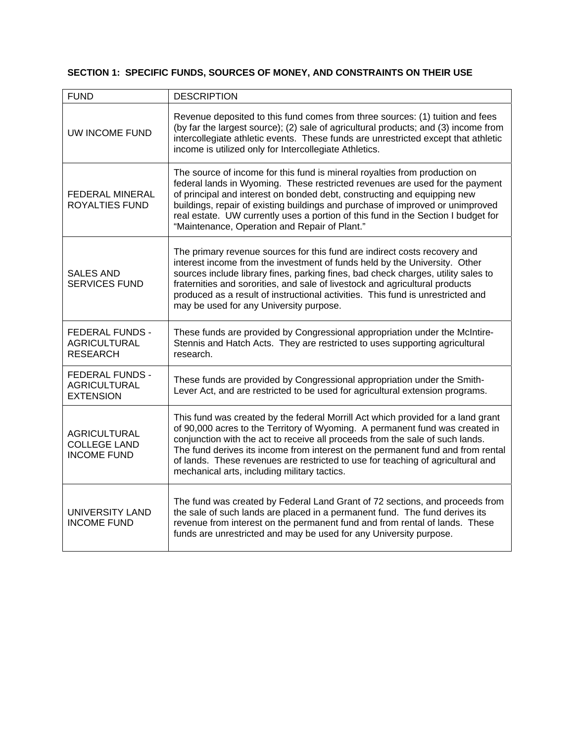# **SECTION 1: SPECIFIC FUNDS, SOURCES OF MONEY, AND CONSTRAINTS ON THEIR USE**

| <b>FUND</b>                                                       | <b>DESCRIPTION</b>                                                                                                                                                                                                                                                                                                                                                                                                                                                      |
|-------------------------------------------------------------------|-------------------------------------------------------------------------------------------------------------------------------------------------------------------------------------------------------------------------------------------------------------------------------------------------------------------------------------------------------------------------------------------------------------------------------------------------------------------------|
| <b>UW INCOME FUND</b>                                             | Revenue deposited to this fund comes from three sources: (1) tuition and fees<br>(by far the largest source); (2) sale of agricultural products; and (3) income from<br>intercollegiate athletic events. These funds are unrestricted except that athletic<br>income is utilized only for Intercollegiate Athletics.                                                                                                                                                    |
| FEDERAL MINERAL<br>ROYALTIES FUND                                 | The source of income for this fund is mineral royalties from production on<br>federal lands in Wyoming. These restricted revenues are used for the payment<br>of principal and interest on bonded debt, constructing and equipping new<br>buildings, repair of existing buildings and purchase of improved or unimproved<br>real estate. UW currently uses a portion of this fund in the Section I budget for<br>"Maintenance, Operation and Repair of Plant."          |
| <b>SALES AND</b><br><b>SERVICES FUND</b>                          | The primary revenue sources for this fund are indirect costs recovery and<br>interest income from the investment of funds held by the University. Other<br>sources include library fines, parking fines, bad check charges, utility sales to<br>fraternities and sororities, and sale of livestock and agricultural products<br>produced as a result of instructional activities. This fund is unrestricted and<br>may be used for any University purpose.              |
| <b>FEDERAL FUNDS -</b><br><b>AGRICULTURAL</b><br><b>RESEARCH</b>  | These funds are provided by Congressional appropriation under the McIntire-<br>Stennis and Hatch Acts. They are restricted to uses supporting agricultural<br>research.                                                                                                                                                                                                                                                                                                 |
| <b>FEDERAL FUNDS -</b><br><b>AGRICULTURAL</b><br><b>EXTENSION</b> | These funds are provided by Congressional appropriation under the Smith-<br>Lever Act, and are restricted to be used for agricultural extension programs.                                                                                                                                                                                                                                                                                                               |
| <b>AGRICULTURAL</b><br><b>COLLEGE LAND</b><br><b>INCOME FUND</b>  | This fund was created by the federal Morrill Act which provided for a land grant<br>of 90,000 acres to the Territory of Wyoming. A permanent fund was created in<br>conjunction with the act to receive all proceeds from the sale of such lands.<br>The fund derives its income from interest on the permanent fund and from rental<br>of lands. These revenues are restricted to use for teaching of agricultural and<br>mechanical arts, including military tactics. |
| UNIVERSITY LAND<br><b>INCOME FUND</b>                             | The fund was created by Federal Land Grant of 72 sections, and proceeds from<br>the sale of such lands are placed in a permanent fund. The fund derives its<br>revenue from interest on the permanent fund and from rental of lands. These<br>funds are unrestricted and may be used for any University purpose.                                                                                                                                                        |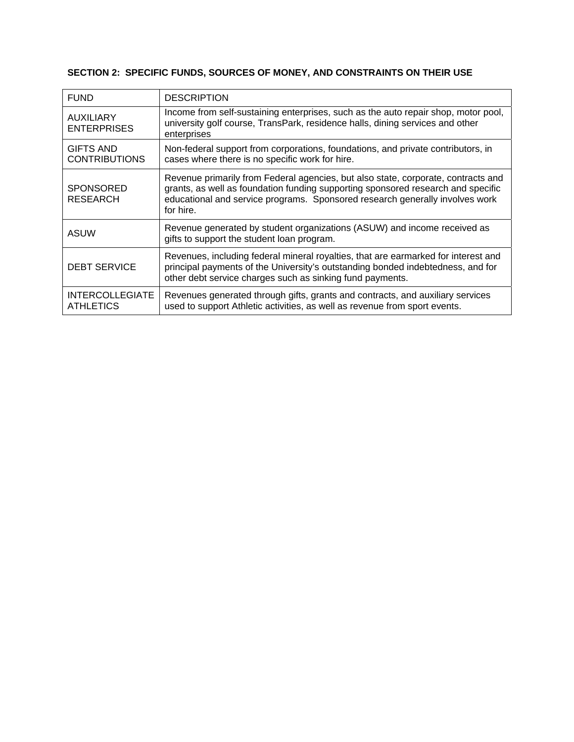# **SECTION 2: SPECIFIC FUNDS, SOURCES OF MONEY, AND CONSTRAINTS ON THEIR USE**

| <b>FUND</b>                                | <b>DESCRIPTION</b>                                                                                                                                                                                                                                                 |
|--------------------------------------------|--------------------------------------------------------------------------------------------------------------------------------------------------------------------------------------------------------------------------------------------------------------------|
| <b>AUXILIARY</b><br><b>ENTERPRISES</b>     | Income from self-sustaining enterprises, such as the auto repair shop, motor pool,<br>university golf course, TransPark, residence halls, dining services and other<br>enterprises                                                                                 |
| <b>GIFTS AND</b><br><b>CONTRIBUTIONS</b>   | Non-federal support from corporations, foundations, and private contributors, in<br>cases where there is no specific work for hire.                                                                                                                                |
| <b>SPONSORED</b><br><b>RESEARCH</b>        | Revenue primarily from Federal agencies, but also state, corporate, contracts and<br>grants, as well as foundation funding supporting sponsored research and specific<br>educational and service programs. Sponsored research generally involves work<br>for hire. |
| <b>ASUW</b>                                | Revenue generated by student organizations (ASUW) and income received as<br>gifts to support the student loan program.                                                                                                                                             |
| <b>DEBT SERVICE</b>                        | Revenues, including federal mineral royalties, that are earmarked for interest and<br>principal payments of the University's outstanding bonded indebtedness, and for<br>other debt service charges such as sinking fund payments.                                 |
| <b>INTERCOLLEGIATE</b><br><b>ATHLETICS</b> | Revenues generated through gifts, grants and contracts, and auxiliary services<br>used to support Athletic activities, as well as revenue from sport events.                                                                                                       |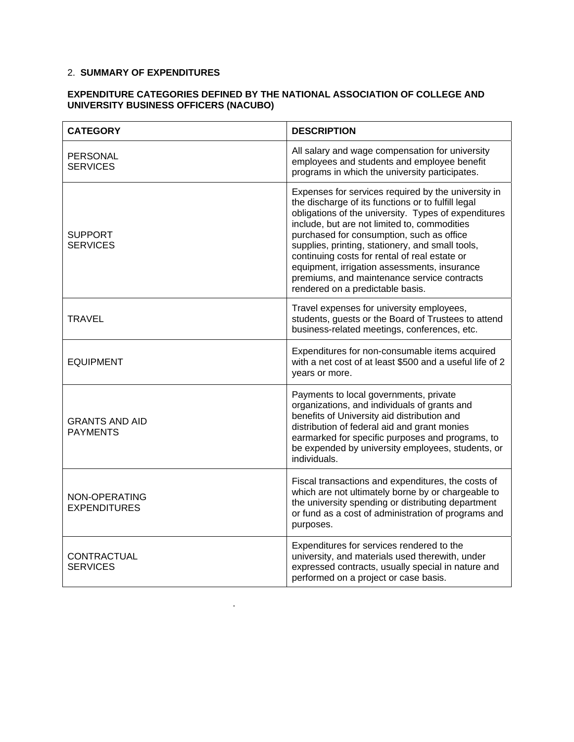# 2. **SUMMARY OF EXPENDITURES**

.

# **EXPENDITURE CATEGORIES DEFINED BY THE NATIONAL ASSOCIATION OF COLLEGE AND UNIVERSITY BUSINESS OFFICERS (NACUBO)**

| <b>CATEGORY</b>                          | <b>DESCRIPTION</b>                                                                                                                                                                                                                                                                                                                                                                                                                                                                                     |
|------------------------------------------|--------------------------------------------------------------------------------------------------------------------------------------------------------------------------------------------------------------------------------------------------------------------------------------------------------------------------------------------------------------------------------------------------------------------------------------------------------------------------------------------------------|
| PERSONAL<br><b>SERVICES</b>              | All salary and wage compensation for university<br>employees and students and employee benefit<br>programs in which the university participates.                                                                                                                                                                                                                                                                                                                                                       |
| SUPPORT<br><b>SERVICES</b>               | Expenses for services required by the university in<br>the discharge of its functions or to fulfill legal<br>obligations of the university. Types of expenditures<br>include, but are not limited to, commodities<br>purchased for consumption, such as office<br>supplies, printing, stationery, and small tools,<br>continuing costs for rental of real estate or<br>equipment, irrigation assessments, insurance<br>premiums, and maintenance service contracts<br>rendered on a predictable basis. |
| <b>TRAVEL</b>                            | Travel expenses for university employees,<br>students, guests or the Board of Trustees to attend<br>business-related meetings, conferences, etc.                                                                                                                                                                                                                                                                                                                                                       |
| <b>EQUIPMENT</b>                         | Expenditures for non-consumable items acquired<br>with a net cost of at least \$500 and a useful life of 2<br>years or more.                                                                                                                                                                                                                                                                                                                                                                           |
| <b>GRANTS AND AID</b><br><b>PAYMENTS</b> | Payments to local governments, private<br>organizations, and individuals of grants and<br>benefits of University aid distribution and<br>distribution of federal aid and grant monies<br>earmarked for specific purposes and programs, to<br>be expended by university employees, students, or<br>individuals.                                                                                                                                                                                         |
| NON-OPERATING<br><b>EXPENDITURES</b>     | Fiscal transactions and expenditures, the costs of<br>which are not ultimately borne by or chargeable to<br>the university spending or distributing department<br>or fund as a cost of administration of programs and<br>purposes.                                                                                                                                                                                                                                                                     |
| CONTRACTUAL<br><b>SERVICES</b>           | Expenditures for services rendered to the<br>university, and materials used therewith, under<br>expressed contracts, usually special in nature and<br>performed on a project or case basis.                                                                                                                                                                                                                                                                                                            |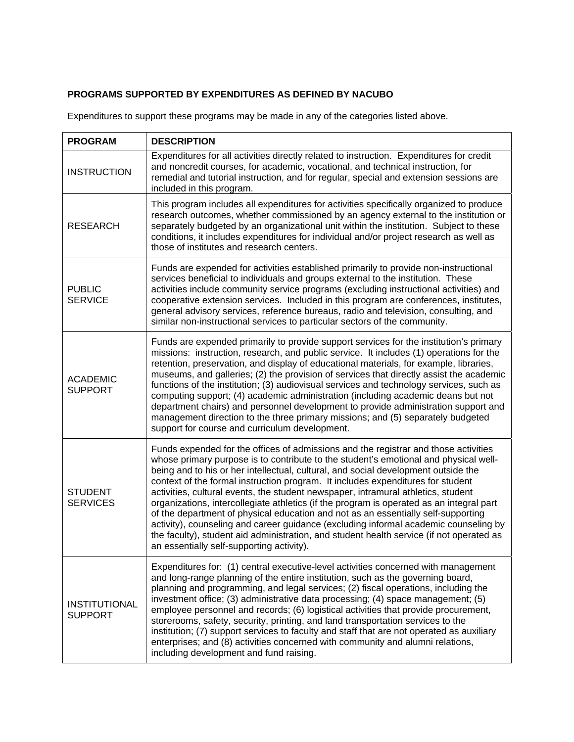# **PROGRAMS SUPPORTED BY EXPENDITURES AS DEFINED BY NACUBO**

Expenditures to support these programs may be made in any of the categories listed above.

| <b>PROGRAM</b>                         | <b>DESCRIPTION</b>                                                                                                                                                                                                                                                                                                                                                                                                                                                                                                                                                                                                                                                                                                                                                                                                                                          |
|----------------------------------------|-------------------------------------------------------------------------------------------------------------------------------------------------------------------------------------------------------------------------------------------------------------------------------------------------------------------------------------------------------------------------------------------------------------------------------------------------------------------------------------------------------------------------------------------------------------------------------------------------------------------------------------------------------------------------------------------------------------------------------------------------------------------------------------------------------------------------------------------------------------|
| <b>INSTRUCTION</b>                     | Expenditures for all activities directly related to instruction. Expenditures for credit<br>and noncredit courses, for academic, vocational, and technical instruction, for<br>remedial and tutorial instruction, and for regular, special and extension sessions are<br>included in this program.                                                                                                                                                                                                                                                                                                                                                                                                                                                                                                                                                          |
| <b>RESEARCH</b>                        | This program includes all expenditures for activities specifically organized to produce<br>research outcomes, whether commissioned by an agency external to the institution or<br>separately budgeted by an organizational unit within the institution. Subject to these<br>conditions, it includes expenditures for individual and/or project research as well as<br>those of institutes and research centers.                                                                                                                                                                                                                                                                                                                                                                                                                                             |
| <b>PUBLIC</b><br><b>SERVICE</b>        | Funds are expended for activities established primarily to provide non-instructional<br>services beneficial to individuals and groups external to the institution. These<br>activities include community service programs (excluding instructional activities) and<br>cooperative extension services. Included in this program are conferences, institutes,<br>general advisory services, reference bureaus, radio and television, consulting, and<br>similar non-instructional services to particular sectors of the community.                                                                                                                                                                                                                                                                                                                            |
| <b>ACADEMIC</b><br><b>SUPPORT</b>      | Funds are expended primarily to provide support services for the institution's primary<br>missions: instruction, research, and public service. It includes (1) operations for the<br>retention, preservation, and display of educational materials, for example, libraries,<br>museums, and galleries; (2) the provision of services that directly assist the academic<br>functions of the institution; (3) audiovisual services and technology services, such as<br>computing support; (4) academic administration (including academic deans but not<br>department chairs) and personnel development to provide administration support and<br>management direction to the three primary missions; and (5) separately budgeted<br>support for course and curriculum development.                                                                            |
| <b>STUDENT</b><br><b>SERVICES</b>      | Funds expended for the offices of admissions and the registrar and those activities<br>whose primary purpose is to contribute to the student's emotional and physical well-<br>being and to his or her intellectual, cultural, and social development outside the<br>context of the formal instruction program. It includes expenditures for student<br>activities, cultural events, the student newspaper, intramural athletics, student<br>organizations, intercollegiate athletics (if the program is operated as an integral part<br>of the department of physical education and not as an essentially self-supporting<br>activity), counseling and career guidance (excluding informal academic counseling by<br>the faculty), student aid administration, and student health service (if not operated as<br>an essentially self-supporting activity). |
| <b>INSTITUTIONAL</b><br><b>SUPPORT</b> | Expenditures for: (1) central executive-level activities concerned with management<br>and long-range planning of the entire institution, such as the governing board,<br>planning and programming, and legal services; (2) fiscal operations, including the<br>investment office; (3) administrative data processing; (4) space management; (5)<br>employee personnel and records; (6) logistical activities that provide procurement,<br>storerooms, safety, security, printing, and land transportation services to the<br>institution; (7) support services to faculty and staff that are not operated as auxiliary<br>enterprises; and (8) activities concerned with community and alumni relations,<br>including development and fund raising.                                                                                                         |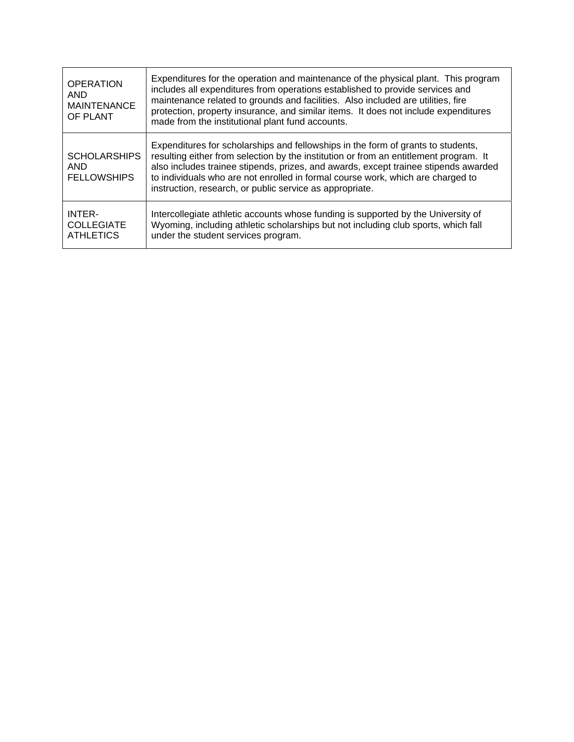| <b>OPERATION</b><br><b>AND</b><br><b>MAINTENANCE</b><br>OF PLANT | Expenditures for the operation and maintenance of the physical plant. This program<br>includes all expenditures from operations established to provide services and<br>maintenance related to grounds and facilities. Also included are utilities, fire<br>protection, property insurance, and similar items. It does not include expenditures<br>made from the institutional plant fund accounts.              |
|------------------------------------------------------------------|-----------------------------------------------------------------------------------------------------------------------------------------------------------------------------------------------------------------------------------------------------------------------------------------------------------------------------------------------------------------------------------------------------------------|
| <b>SCHOLARSHIPS</b><br><b>AND</b><br><b>FELLOWSHIPS</b>          | Expenditures for scholarships and fellowships in the form of grants to students,<br>resulting either from selection by the institution or from an entitlement program. It<br>also includes trainee stipends, prizes, and awards, except trainee stipends awarded<br>to individuals who are not enrolled in formal course work, which are charged to<br>instruction, research, or public service as appropriate. |
| INTER-<br><b>COLLEGIATE</b><br><b>ATHLETICS</b>                  | Intercollegiate athletic accounts whose funding is supported by the University of<br>Wyoming, including athletic scholarships but not including club sports, which fall<br>under the student services program.                                                                                                                                                                                                  |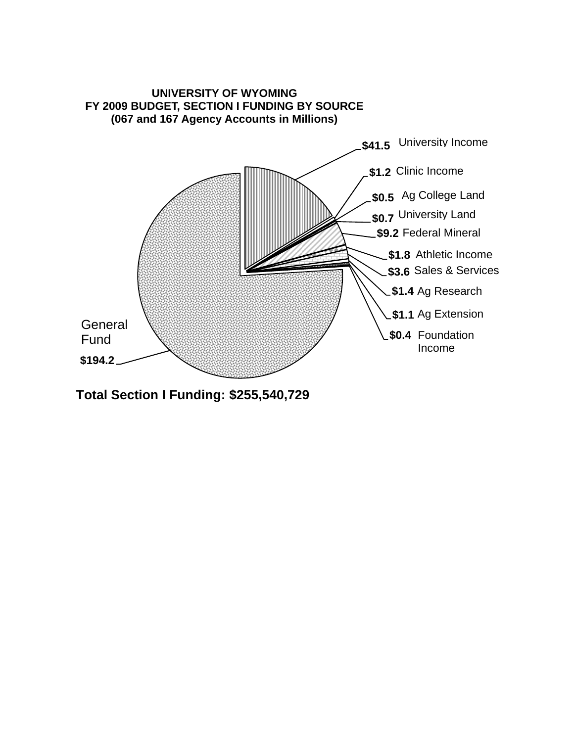

**Total Section I Funding: \$255,540,729**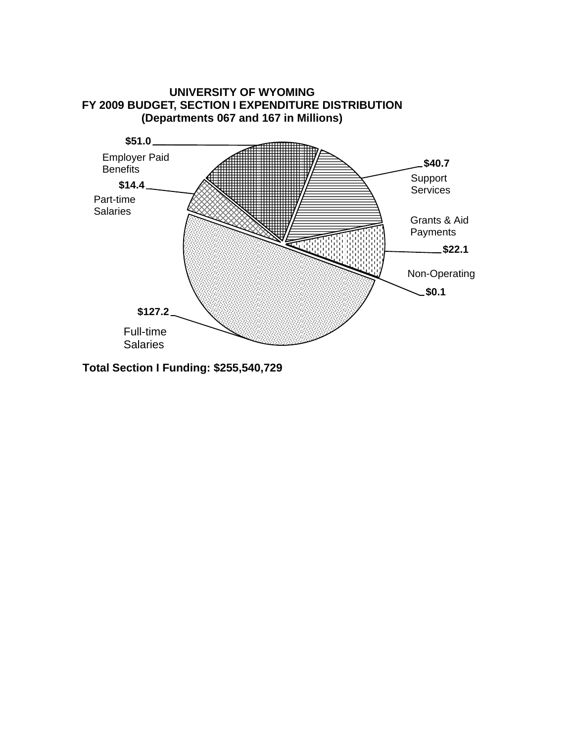

**Total Section I Funding: \$255,540,729**